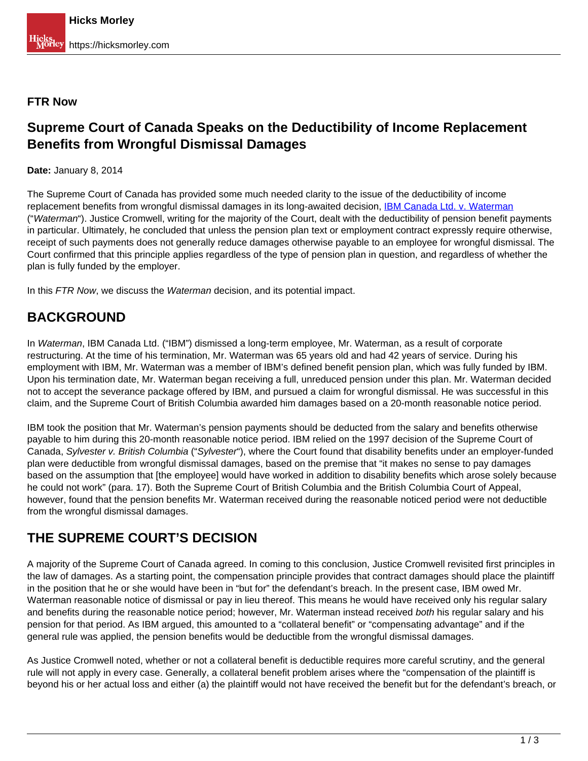#### **FTR Now**

### **Supreme Court of Canada Speaks on the Deductibility of Income Replacement Benefits from Wrongful Dismissal Damages**

**Date:** January 8, 2014

The Supreme Court of Canada has provided some much needed clarity to the issue of the deductibility of income replacement benefits from wrongful dismissal damages in its long-awaited decision, **IBM Canada Ltd. v. Waterman** ("Waterman"). Justice Cromwell, writing for the majority of the Court, dealt with the deductibility of pension benefit payments in particular. Ultimately, he concluded that unless the pension plan text or employment contract expressly require otherwise, receipt of such payments does not generally reduce damages otherwise payable to an employee for wrongful dismissal. The Court confirmed that this principle applies regardless of the type of pension plan in question, and regardless of whether the plan is fully funded by the employer.

In this FTR Now, we discuss the Waterman decision, and its potential impact.

## **BACKGROUND**

In Waterman, IBM Canada Ltd. ("IBM") dismissed a long-term employee, Mr. Waterman, as a result of corporate restructuring. At the time of his termination, Mr. Waterman was 65 years old and had 42 years of service. During his employment with IBM, Mr. Waterman was a member of IBM's defined benefit pension plan, which was fully funded by IBM. Upon his termination date, Mr. Waterman began receiving a full, unreduced pension under this plan. Mr. Waterman decided not to accept the severance package offered by IBM, and pursued a claim for wrongful dismissal. He was successful in this claim, and the Supreme Court of British Columbia awarded him damages based on a 20-month reasonable notice period.

IBM took the position that Mr. Waterman's pension payments should be deducted from the salary and benefits otherwise payable to him during this 20-month reasonable notice period. IBM relied on the 1997 decision of the Supreme Court of Canada, Sylvester v. British Columbia ("Sylvester"), where the Court found that disability benefits under an employer-funded plan were deductible from wrongful dismissal damages, based on the premise that "it makes no sense to pay damages based on the assumption that [the employee] would have worked in addition to disability benefits which arose solely because he could not work" (para. 17). Both the Supreme Court of British Columbia and the British Columbia Court of Appeal, however, found that the pension benefits Mr. Waterman received during the reasonable noticed period were not deductible from the wrongful dismissal damages.

## **THE SUPREME COURT'S DECISION**

A majority of the Supreme Court of Canada agreed. In coming to this conclusion, Justice Cromwell revisited first principles in the law of damages. As a starting point, the compensation principle provides that contract damages should place the plaintiff in the position that he or she would have been in "but for" the defendant's breach. In the present case, IBM owed Mr. Waterman reasonable notice of dismissal or pay in lieu thereof. This means he would have received only his regular salary and benefits during the reasonable notice period; however, Mr. Waterman instead received both his regular salary and his pension for that period. As IBM argued, this amounted to a "collateral benefit" or "compensating advantage" and if the general rule was applied, the pension benefits would be deductible from the wrongful dismissal damages.

As Justice Cromwell noted, whether or not a collateral benefit is deductible requires more careful scrutiny, and the general rule will not apply in every case. Generally, a collateral benefit problem arises where the "compensation of the plaintiff is beyond his or her actual loss and either (a) the plaintiff would not have received the benefit but for the defendant's breach, or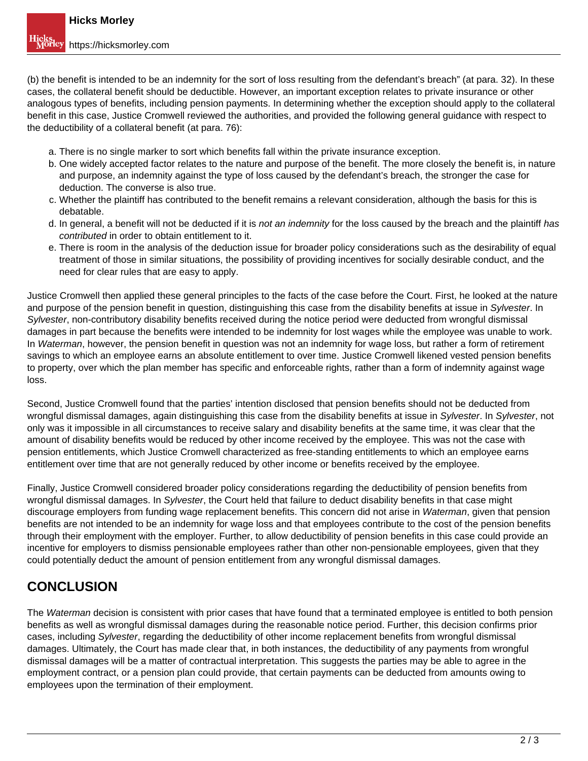(b) the benefit is intended to be an indemnity for the sort of loss resulting from the defendant's breach" (at para. 32). In these cases, the collateral benefit should be deductible. However, an important exception relates to private insurance or other analogous types of benefits, including pension payments. In determining whether the exception should apply to the collateral benefit in this case, Justice Cromwell reviewed the authorities, and provided the following general guidance with respect to the deductibility of a collateral benefit (at para. 76):

- a. There is no single marker to sort which benefits fall within the private insurance exception.
- b. One widely accepted factor relates to the nature and purpose of the benefit. The more closely the benefit is, in nature and purpose, an indemnity against the type of loss caused by the defendant's breach, the stronger the case for deduction. The converse is also true.
- c. Whether the plaintiff has contributed to the benefit remains a relevant consideration, although the basis for this is debatable.
- d. In general, a benefit will not be deducted if it is not an indemnity for the loss caused by the breach and the plaintiff has contributed in order to obtain entitlement to it.
- e. There is room in the analysis of the deduction issue for broader policy considerations such as the desirability of equal treatment of those in similar situations, the possibility of providing incentives for socially desirable conduct, and the need for clear rules that are easy to apply.

Justice Cromwell then applied these general principles to the facts of the case before the Court. First, he looked at the nature and purpose of the pension benefit in question, distinguishing this case from the disability benefits at issue in Sylvester. In Sylvester, non-contributory disability benefits received during the notice period were deducted from wrongful dismissal damages in part because the benefits were intended to be indemnity for lost wages while the employee was unable to work. In Waterman, however, the pension benefit in question was not an indemnity for wage loss, but rather a form of retirement savings to which an employee earns an absolute entitlement to over time. Justice Cromwell likened vested pension benefits to property, over which the plan member has specific and enforceable rights, rather than a form of indemnity against wage loss.

Second, Justice Cromwell found that the parties' intention disclosed that pension benefits should not be deducted from wrongful dismissal damages, again distinguishing this case from the disability benefits at issue in Sylvester. In Sylvester, not only was it impossible in all circumstances to receive salary and disability benefits at the same time, it was clear that the amount of disability benefits would be reduced by other income received by the employee. This was not the case with pension entitlements, which Justice Cromwell characterized as free-standing entitlements to which an employee earns entitlement over time that are not generally reduced by other income or benefits received by the employee.

Finally, Justice Cromwell considered broader policy considerations regarding the deductibility of pension benefits from wrongful dismissal damages. In Sylvester, the Court held that failure to deduct disability benefits in that case might discourage employers from funding wage replacement benefits. This concern did not arise in Waterman, given that pension benefits are not intended to be an indemnity for wage loss and that employees contribute to the cost of the pension benefits through their employment with the employer. Further, to allow deductibility of pension benefits in this case could provide an incentive for employers to dismiss pensionable employees rather than other non-pensionable employees, given that they could potentially deduct the amount of pension entitlement from any wrongful dismissal damages.

# **CONCLUSION**

The Waterman decision is consistent with prior cases that have found that a terminated employee is entitled to both pension benefits as well as wrongful dismissal damages during the reasonable notice period. Further, this decision confirms prior cases, including Sylvester, regarding the deductibility of other income replacement benefits from wrongful dismissal damages. Ultimately, the Court has made clear that, in both instances, the deductibility of any payments from wrongful dismissal damages will be a matter of contractual interpretation. This suggests the parties may be able to agree in the employment contract, or a pension plan could provide, that certain payments can be deducted from amounts owing to employees upon the termination of their employment.